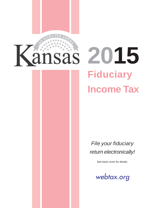

# **828** 2015 **Fiduciary Income Tax**

*File your fiduciary return electronically!* 

See back cover for details.

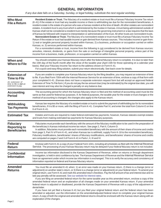# **GENERAL INFORMATION**

*If any due date falls on a Saturday, Sunday, or legal holiday, substitute the next regular workday.* 

| <b>Who Must</b><br><b>File a Return</b>                                                                             | Resident Estate or Trust. The fiduciary of a resident estate or trust must file a Kansas Fiduciary Income Tax return<br>(K-41) if the estate or trust had any taxable income or there is withholding tax due for the nonresident beneficiaries. A<br>resident estate is the estate of a person who was a Kansas resident at the time of death. All other estates are nonresident<br>estates. A resident trust is any trust which is administered by the trustee in Kansas. A trust being administered outside of<br>Kansas shall not be considered a resident trust merely because the governing instrument or a law requires that the laws<br>of Kansas be followed with respect to interpretation or administration of the trust. All other trusts are nonresident trusts.<br>Nonresident Estate or Trust. The fiduciary of a nonresident estate or trust must file a Kansas Fiduciary Income Tax<br>Return if the estate or trust had taxable income or gain derived from Kansas sources. This includes income or gain from:<br>1) real or tangible personal property located within Kansas; 2) a business, profession or occupation carried on within<br>Kansas; or, 3) services performed within Kansas.<br>For a nonresident estate or trust, income from the following is not considered to be derived from Kansas sources:<br>annuities, interest, dividends, or gains from the sale or exchange of intangible personal property, unless part of the<br>income from a business, trade, profession, or occupation carried on within Kansas. |
|---------------------------------------------------------------------------------------------------------------------|----------------------------------------------------------------------------------------------------------------------------------------------------------------------------------------------------------------------------------------------------------------------------------------------------------------------------------------------------------------------------------------------------------------------------------------------------------------------------------------------------------------------------------------------------------------------------------------------------------------------------------------------------------------------------------------------------------------------------------------------------------------------------------------------------------------------------------------------------------------------------------------------------------------------------------------------------------------------------------------------------------------------------------------------------------------------------------------------------------------------------------------------------------------------------------------------------------------------------------------------------------------------------------------------------------------------------------------------------------------------------------------------------------------------------------------------------------------------------------------------------------------------------------------------------|
| When and<br><b>Where to File</b>                                                                                    | You should complete your Kansas fiduciary return after the federal fiduciary return is complete. It is due no later than<br>the 15th day of the fourth month after the close of the taxable year (April 15th for those operating on a calendar year<br>basis). Mail your Fiduciary Income Tax return to the address shown on Form K-41.<br>For a quick and easy filing solution, submit your return electronically. See back cover for details.                                                                                                                                                                                                                                                                                                                                                                                                                                                                                                                                                                                                                                                                                                                                                                                                                                                                                                                                                                                                                                                                                                    |
| <b>Extension of</b><br><b>Time to File</b><br>An extension of<br>time to file is <b>not</b> an<br>extension to pay. | If you are unable to complete your Kansas fiduciary return by the filing deadline, you may request an extension of time<br>to file. If you filed Form 7004 with the Internal Revenue Service for an extension of time, enclose a copy of that form with<br>your completed K-41. (Kansas does not have a separate extension request form but will accept an approved federal<br>Extension of Time To File form.) If you do not pay the tax amount due (may be estimated) by the original due date, you will<br>owe interest and may also be charged a penalty on any balance due.                                                                                                                                                                                                                                                                                                                                                                                                                                                                                                                                                                                                                                                                                                                                                                                                                                                                                                                                                                   |
| <b>Accounting</b><br><b>Period</b>                                                                                  | The accounting period for which the Kansas fiduciary return is filed and the method of accounting used must be the<br>same as that used for federal tax purposes. If, for federal purposes, the taxable year for the estate or trust changes or the<br>method of accounting is changed, the changes also apply to the Kansas return.                                                                                                                                                                                                                                                                                                                                                                                                                                                                                                                                                                                                                                                                                                                                                                                                                                                                                                                                                                                                                                                                                                                                                                                                               |
| Withholding<br><b>Tax Payments</b>                                                                                  | Kansas law requires the fiduciary of a resident estate or trust to submit the payment of withholding tax for its nonresident<br>beneficiaries, if it is \$5 or more, with the filing of Form K-41. Complete Part IV, and enter the total from Column E on line<br>6 of Form K-41.                                                                                                                                                                                                                                                                                                                                                                                                                                                                                                                                                                                                                                                                                                                                                                                                                                                                                                                                                                                                                                                                                                                                                                                                                                                                  |
| <b>Estimated Tax</b>                                                                                                | Estates and trusts are required to make federal estimated tax payments; however, Kansas statutes exempt estates<br>and trusts from making estimated tax payments for Kansas fiduciary purposes.                                                                                                                                                                                                                                                                                                                                                                                                                                                                                                                                                                                                                                                                                                                                                                                                                                                                                                                                                                                                                                                                                                                                                                                                                                                                                                                                                    |
| <b>Fiduciary</b><br><b>Reporting to</b><br><b>Beneficiaries</b>                                                     | Fiduciaries must provide each beneficiary with the amount of the fiduciary modification to be used in the preparation of<br>the beneficiary's Kansas individual income tax return. See page 2, Part II, Column D.<br>In addition, fiduciaries must provide each nonresident beneficiary with the amount of their share of income and credits<br>from page 3, Part IV of Form K-41, and when Kansas tax is withheld, supply Form K-18 to the nonresident beneficiary.<br>Fiduciary modifications, beneficiaries' shares of fiduciary modifications, and beneficiaries' shares of income and credits<br>are computed on pages 2 and 3 of Form K-41 in Parts I, II, III and IV.                                                                                                                                                                                                                                                                                                                                                                                                                                                                                                                                                                                                                                                                                                                                                                                                                                                                       |
| <b>Federal</b><br><b>Return</b>                                                                                     | Enclose with Form K-41 a copy of your Federal Form 1041, including all schedules as filed with the Internal Revenue<br>Service. The processing of your Kansas fiduciary return may be delayed if your federal fiduciary return is not included.                                                                                                                                                                                                                                                                                                                                                                                                                                                                                                                                                                                                                                                                                                                                                                                                                                                                                                                                                                                                                                                                                                                                                                                                                                                                                                    |
| <b>Confidential</b><br><b>Information</b>                                                                           | Income tax information disclosed to the Kansas Department of Revenue, either on returns or through department<br>investigation, is held in strict confidence by law. The Kansas Department of Revenue and the Internal Revenue Service<br>have an agreement under which income tax information is exchanged. This is to verify the accuracy and consistency of<br>information reported on federal and Kansas fiduciary returns.                                                                                                                                                                                                                                                                                                                                                                                                                                                                                                                                                                                                                                                                                                                                                                                                                                                                                                                                                                                                                                                                                                                    |
| <b>Amended</b><br><b>Returns</b>                                                                                    | You must file an amended K-41 when: 1) an error was made on your Kansas return, 2) there is a change (error or<br>adjustment) on another state's return, or 3) there is a change (error or adjustment) on your federal return. To amend your<br>original return, use Form K-41 and mark the amended return checkbox. Pay the full amount of tax and interest due and no<br>late pay penalty will be assessed. See our website for interest rates.<br>If you are filing an amended federal return for the same taxable year as this amended return, enclose a copy of the<br>amended federal return and an explanation of all changes made on your amended Kansas return. If your amended<br>federal return is adjusted or disallowed, provide the Kansas Department of Revenue with a copy of the adjustment or<br>denial letter.<br>If you have not yet filed a Kansas K-41 but you filed your original federal return and the federal return has been<br>amended or adjusted, use the information on the amended/adjusted federal return to complete your original Kansas<br>return. A copy of both the original and amended federal returns should be enclosed with the Kansas return along with an<br>explanation of the changes.                                                                                                                                                                                                                                                                                                              |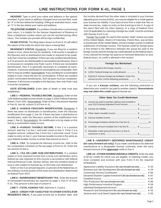**HEADING.** Type or print your name and address in the spaces provided. If your name or address changed since you last filed, mark an "X" in the box below the heading. If filing an amended return, mark an "X" in the box below your name and address.

**TELEPHONE NUMBER.** If a problem should arise in processing your return, it is helpful for the Kansas Department of Revenue to have a telephone number where you can be reached during office hours. The number you provide will be kept confidential.

**FILING STATUS.** The filing status shown on Form K-41 will reflect the nature of the entity for which the return is being filed.

**RESIDENCY STATUS.** Residents: If you are filing for a resident estate or trust, check the box for residents. If all income is taxable to the fiduciary and no distributions are made or required to be made, only Part I must be completed. If there are only resident beneficiaries, or if no amounts are distributable to nonresident beneficiaries, then it is necessary to complete only Parts I and II. If there are nonresident beneficiaries, then it is generally necessary to complete all parts. However, if amounts distributed to nonresidents are nontaxable, then Part IV may be omitted. Nonresidents: If you are filing for a nonresident estate or trust, check the box for nonresidents. If there are resident and/or nonresident beneficiaries, then all parts must be completed. However, if all income is taxable to the fiduciary, then only Parts I and II must be completed.

**DATE ESTABLISHED.** Enter date of death or date trust was established.

**LINE 1—FEDERAL TAXABLE INCOME.** Residents: Enter on line 1 the federal taxable income shown on page 1 of the Federal Fiduciary Return, Form 1041. Nonresidents: Enter on line 1 the amount reported in Part III, line 48, column D of Form K-41.

**LINE 2-KANSAS FIDUCIARY MODIFICATION.** Residents: If there has been no distribution to beneficiaries, enter the fiduciary modification from page 2, line 26. If there has been a distribution to beneficiaries, enter the fiduciary's portion of the modification from page 2, line (j). Nonresidents: No modification is to be made on this line by a nonresident estate or trust.

**LINE 3—KANSAS TAXABLE INCOME.** If line 2 is a positive amount, add line 2 to line 1 and enter result on line 3. If line 2 is a negative amount, subtract line 2 from line 1 and enter result. If you made no entry on line 2, your Kansas taxable income is the same as your federal taxable income so enter that amount on line 3.

**LINE 4—TAX.** To compute the fiduciary income tax, refer to the tax computation schedule on the last page of Form K-41. Enter the tax amount on line 4.

**LINE 5—TAX ON LUMP SUM DISTRIBUTIONS.** If a resident estate or trust received income from a lump sum distribution and a federal tax was imposed on this income in accordance with federal Internal Revenue Code, Section 402(e), then the resident estate or trust is also subject to Kansas tax on the lump sum distribution.

Enter on line 5 an amount equal to 13 percent of the federal tax on the ordinary income portion of the lump sum distribution determined on federal Form 4972.

 **LINE 6—NONRESIDENT BENEFICIARY TAX.** Enter the amount of nonresident beneficiary tax reported on page 3, Part IV of Form K-41. This amount is the total of column E.

**LINE 7—TOTAL KANSAS TAX.** Add lines 4, 5 and 6.

**LINE 8—CREDIT FOR TAXES PAID TO OTHER STATES (FOR RESIDENTS ONLY).** If you paid income tax to another state, and

the income derived from the other state is included in your Kansas adjusted gross income (KAGI), you may be eligible for a credit against your Kansas tax liability. If you had income from a state that has no state income tax, make no entry on line 8 and go to line 9. A copy of the return filed with the other state(s), or a copy of Federal Form 1116 (if applicable) for claiming a foreign tax credit, must be enclosed with Kansas Form K-41.

Foreign Tax Credit: As used in this section "state" means any state of the United States, District of Columbia, Puerto Rico, any territory or possession of the United States, and any foreign country or political subdivision of a foreign country. The Kansas credit for foreign taxes is first limited to the difference between the actual tax paid to the foreign country and the foreign tax credit allowed on the federal return. If you claimed the foreign tax paid as an itemized deduction on your federal return, no credit is allowed in this section.

|  | <b>Foreign Tax Worksheet</b> |
|--|------------------------------|
|  |                              |

|--|--|--|

| C. EQUALS: Kansas foreign tax limitation. Enter this |  |
|------------------------------------------------------|--|
| amount on line 1 of the following worksheet.  \$     |  |

If you are a **Kansas resident,** use the following worksheet to determine your credit for tax paid to another state(s). **Nonresidents may not claim this credit** against Kansas tax.

|    | <b>Other State Tax Credit Worksheet</b>                                                           |
|----|---------------------------------------------------------------------------------------------------|
| 1) | Income tax paid to another state(s) and included in<br>your 2015 Kansas Adjusted Gross Income  \$ |
| 2) |                                                                                                   |
| 3) |                                                                                                   |
| 4) |                                                                                                   |
| 5) | Percentage limitation (divide line 3 by line 4)                                                   |
| 6) | Limitation amount (multiply line 2 by line 5) \$                                                  |
| 7) | Allowable credit (amount from line 1 or line 6,                                                   |

**LINE 9—UNIVERSITY DEFERRED MAINTENANCE CREDIT (for carry forward use only).** If you made contributions for deferred maintenance to a designated Kansas university, enter the carry forward amount of the **approved** credit on line 9.

**LINE 10—OTHER NONREFUNDABLE CREDITS.** Enter the total of all tax credits for which you are eligible. In claiming credits, you must complete and enclose with your Form K-41 the required schedule(s).

| Agritourism Liability Insurance (for carry forward use only)      | K-33   |
|-------------------------------------------------------------------|--------|
| Business and Job Development (for carry forward use only)         | $K-34$ |
|                                                                   | K-60   |
| Declared Disaster Capital Investment (for carry forward use only) | K-87   |
|                                                                   | K-37   |
| Film Production (for carry forward use only)                      | K-86   |
|                                                                   | K-59   |
|                                                                   | K-68   |
| Research and Development (for carry forward use only)             | $K-53$ |
| Venture and Local Seed Capital (for carry forward use only)       | K-55   |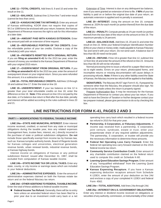**LINE 11—TOTAL CREDITS.** Add lines 8, 9 and 10 and enter the result on line 11.

**LINE 12—BALANCE.** Subtract line 11 from line 7 and enter result (cannot be less than zero).

**LINE 13—KANSAS INCOME TAX WITHHELD.** Enter any amount of Kansas withholding. KDOR does not require that copies of W-2 or 1099 forms be enclosed with your return; however, the Kansas Department of Revenue reserves the right to ask for this information at a later date.

**LINE 14—AMOUNT PAID WITH KANSAS EXTENSION.** Enter any amount paid with an extension of time request.

**LINE 15—REFUNDABLE PORTION OF TAX CREDITS.** Enter the refundable portion of your tax credits. Enclose a copy of the schedule(s) with your return.

**LINE 16—PAYMENTS REMITTED WITH ORIGINAL RETURN.**  If you are **filing an amended K-41** for the 2015 tax year, enter the amount of money you remitted to the Kansas Department of Revenue with your original 2015 return.

**LINE 17—OVERPAYMENT FROM ORIGINAL RETURN.** If you are **filing an amended K-41** for the 2015 tax year, enter the amount of overpayment shown on your original return. Since you were refunded this amount, it is a subtraction entry.

**LINE 18—TOTAL REFUNDABLE CREDITS.** Add lines 13 through 16 and subtract line 17. Enter the total on line 18.

**LINE 19—UNDERPAYMENT.** If your tax balance on line 12 is greater than your total refundable credits on line 18, enter the difference on line 19. **Note:** If the amount on line 19 is not paid by the due date, or if a balance due return is filed after the due date, penalty and interest will be added according to the rules outlined in lines 20 and 21.

**Extension of Time: Interest is due on any delinquent tax balance,** even if you were granted an extension of time to file. If **90%** of your tax liability is paid on or before the original due date of your return, an automatic extension is applied and no penalty is assessed.

**LINE 20—INTEREST.** Using the amount on line 19, compute interest at .333% for each month (or portion thereof) from the due date of the return.

**LINE 21—PENALTY.** Compute penalty at 1% per month (or portion thereof) from the due date of the return on the amount on line 19. The maximum penalty is 24 percent.

**LINE 22—BALANCE DUE.** Add lines 19, 20 and 21 and enter the result on line 22. Write your federal Employer Identification Number (EIN) on your check or money order, made payable to Kansas Fiduciary Tax and send it with your return. Do not send cash. A balance due of less than \$5.00 need not be paid.

**LINE 23—REFUND.** If line 18 is greater than line 12, subtract line 12 from line 18 and enter the amount of the refund on line 23. Amounts less than \$5.00 will not be refunded.

Normal processing time to issue a refund for a paper-filed return is six to eight weeks. Errors on your return, photocopied forms, and incomplete returns or missing documentation will cause delays in processing refunds. **Note:** If there is any other liability owed the State of Kansas, the fiduciary income tax refund will be applied to that liability.

**SIGNATURES.** The fiduciary MUST sign Form K-41. If prepared by someone other than the fiduciary, the preparer should also sign. No refund can be made unless the return is properly signed.

Preparer Authorization Box: It may be necessary for the Kansas Department of Revenue to contact you about your tax return. If you wish to have the Director of Taxation or his/her designee contact your tax preparer instead, please give permission to do so by checking this box.

## **LINE INSTRUCTIONS FOR FORM K-41, PAGES 2 AND 3**

#### **PART I — MODIFICATIONS TO FEDERAL TAXABLE INCOME**

**LINE 24a—STATE AND MUNICIPAL INTEREST.** Enter interest income received, credited, or earned from any state or municipal obligations during the taxable year, less any related expenses (management fees, trustee fees, interest, etc.) directly incurred in the purchase of state or political subdivision obligations. **Do not**  include those specifically exempt from income tax by Kansas law, such as: Kansas turnpike authority bonds, Board of Regents bonds for Kansas colleges and universities, electrical generation revenue bonds, urban renewal bonds, industrial revenue bonds, or Kansas highway bonds.

Interest income on obligations of Kansas or any political subdivision thereof, issued after December 31, 1987, shall be excluded from computation of Kansas taxable income.

**LINE 24b—STATE INCOME TAX OR LOCAL TAXES.** Enter any state, county, or city income or earnings taxes which are included in your federal deductions.

**LINE 24c—ADMINISTRATIVE EXPENSES.** Enter the amount of administrative expenses claimed on both the Kansas estate tax return and on the federal fiduciary tax return.

**LINE 24d—OTHER ADDITIONS TO FEDERAL TAXABLE INCOME.**  Enter the total of these additions to federal taxable income:

**Federal Income Tax Refund.** Generally, there will be no entry here unless an amended federal return has been filed for a prior year due to an investment credit carry back or a net

operating loss carry back which resulted in a federal income tax refund in 2015 for that prior year.

- **Partnership, S Corporation, or Fiduciary Adjustments.** If income was received from a partnership, S corporation, joint venture, syndicate, estate or trust, enter your proportionate share of any required addition adjustments. The partnership, S corporation, or trustee will provide you the necessary information to determine these amounts.
- **Federal Net Operating Loss Carry Forward.** Enter the federal net operating loss carry forward claimed on the 2015 federal income tax return.
- **Community Service Contribution Credit.** Enter amount of any charitable contribution claimed on the federal return used to compute this credit on Schedule K-60.
- Learning Quest Education Savings Program. Enter amount of any "nonqualified withdrawal" from the Learning Quest Education Savings Program.
- **Kansas Expensing Recapture.** If you have a Kansas expensing deduction recapture amount from Schedule K-120EX, enter the amount of your deduction on line 24d and enclose a copy of your completed K-120EX and federal Form 4562.

**LINE 24e—TOTAL ADDITIONS.** Add lines 24a through 24d.

#### **LINE 25a—INTEREST ON U.S. GOVERNMENT OBLIGATIONS.**  Enter any interest or dividend income received on obligations or securities of any authority, commission, or instrumentality of the United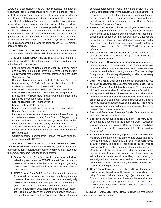States and its possessions, less any related expenses (management fees, trustee fees, interest, etc.) directly incurred in the purchase of such obligations or securities, to the extent they are included in federal taxable income if they are exempt from state income taxes under the laws of the United States. Such income paid to shareholders through a mutual fund is also exempt from Kansas tax. If the mutual fund invests in both exempt and non-exempt federal obligations, the modification allowed will be that portion of the distribution received from the mutual fund attributable to direct obligations of the U.S. government, as determined by the mutual fund. These obligations include: U.S. Savings Bonds, U.S. Treasury Bills, Federal Land Bank, etc. Enclose a schedule indicating the name of each U.S. Government obligation claimed.

**LINE 25b—STATE INCOME TAX REFUNDS.** Enter any state or local income tax refunds which are included in line 1 of Form K-41.

**LINE 25c—RETIREMENT BENEFITS.** Enter total amount of benefits received from the following plans that are included in your federal adjusted gross income.

- Federal Civil Service Retirement or Disability Fund payments and any other amounts received as retirement benefits from employment by the federal government or for service in the United States Armed Forces
- Retirement plans administered by the U.S. Railroad Retirement Board, including U.S. Railroad Retirement Benefits, tier I, tier II, dual vested benefits, and supplemental annuities
- Kansas Public Employees' Retirement (KPERS) annuities
- Kansas Police and Firemen's Retirement System pensions
- Distributions from Police and Fire Department retirement plans for the city of Overland Park, Kansas
- Kansas Teachers' Retirement annuities
- Kansas Highway Patrol pensions
- Kansas Justices and Judges Retirement System annuities
- Board of Public Utilities pensions
- Income from retirement annuity contracts purchased for faculty and others employed by the State Board of Regents or by educational institutions under its management with either their direct contributions or through salary reduction plans
- Amounts received by retired employees of Washburn University as retirement and pension benefits under the university's retirement plan
- Certain pensions received from Kansas first class cities that are not covered by KPERS

**LINE 25d—OTHER SUBTRACTIONS FROM FEDERAL TAXABLE INCOME.** Enter on line 25d the total of these other subtractions from federal taxable income. **Note:** You may not subtract the amount of income reported to another state.

- **Social Security Benefits (for taxpayers with federal adjusted gross income of \$75,000 or less).** Enter the amount received as benefits under the Social Security Act (including SSI) in 2015, to the extent it is included in federal adjusted gross income.
- **KPERS Lump Sum Roll Over.** Enter the amounts withdrawn from a qualified retirement account and include any earnings thereon to the extent that the amounts withdrawn were originally received as a KPERS lump sum payment at retirement that you rolled over into a qualified retirement account and the amount entered is included in federal adjusted gross income. **Do not make an entry** if the amount withdrawn consists of income that was originally received from retirement annuity

contracts purchased for faculty and others employed by the State Board of Regents or by educational institutions under its management with either their direct contributions or through salary reduction plans or, a pension received from any Kansas first class city that is not covered by the Kansas Public Employee's Retirement System.

- **KPERS Lump Sum Distribution.** Employees who terminated KPERS employment after July 1, 1984, and elect to receive their contributions in a lump sum distribution will report their taxable contributions on their federal return. Subtract the amount of the withdrawn accumulated contributions or partial lump-sum payment(s) to the extent either is included in federal adjusted gross income. See NOTICE 05-04 for additional information.
- Sale of Kansas Turnpike Bonds. Enter the gain from the sale of Kansas Turnpike Bonds if the gain was included in the federal taxable income.
- **Partnership, S Corporation or Fiduciary Adjustments.** If income was received from a partnership, S corporation, joint venture, syndicate, trust or estate, enter the proportionate share of any required subtraction adjustments. The partnership, S corporation, or beneficiary will provide you with the necessary information to determine this amount.
- **Jobs Tax Credit.** Enter amount of the federal targeted jobs tax credit disallowance claimed on the federal income tax return.
- **Kansas Venture Capital, Inc. Dividends.** Enter amount of dividend income received from Kansas Venture Capital, Inc.
- S Corporation Privilege Adjustment. If you are a shareholder in a bank, savings and loan, or other financial institution that is organized as an S corporation, enter the portion of any income received that was not distributed as a dividend. This income has already been taxed on the privilege tax return filed by the S corporation financial institution.
- **Electrical Generation Revenue Bonds.** Enter the amount included in federal taxable income.
- **Learning Quest Education Savings Program.** Enter contributions deposited in the Learning Quest Education Savings Program, or a qualified 529 tuition program established by another state, up to a maximum of \$3,000 per student (beneficiary).
- Armed Forces Recruitment, Sign-Up or Retention Bonus. Members of the armed forces of the United States (including Kansas army and air national guard): enter amounts received as a recruitment, sign up or retention bonus you received as an incentive to join, enlist or remain in the armed forces of the United States, to the extent included in federal adjusted gross income. Also include amounts you received for repayment of educational or student loans incurred by you or for which you are obligated, and received as a result of your service in the armed forces of the United States, to the extent included in federal adjusted gross income.
- **Organ Donor Expenses.** Unreimbursed travel, lodging, and medical expenditures incurred by you or your dependent, while living, for the donation of human organ(s) to another person for transplant; to the extent that the expenditures are included in your federal adjusted gross income. This subtraction modification cannot exceed \$5,000. See NOTICE 14-03 for more information.

 **LINE 25e—TOTAL SUBTRACTIONS.** Add lines 25a through 25d and enter the total on line 25e.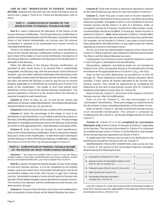**LINE 26—NET MODIFICATION TO FEDERAL TAXABLE INCOME.** Subtract line 25e from line 24e. Enter the total on line 26 and on line 2, page 1, Form K-41. If there are beneficiaries, refer to Part II.

#### **PART II – COMPUTATION OF SHARES OF THE MODIFICATION TO FEDERAL TAXABLE INCOME**

**Part II** is used to determine the allocation of the shares of the Kansas fiduciary modification. The Kansas fiduciary modification is divided among the beneficiaries and the fiduciary in proportion to their share of the federal distributable net income plus the amount contributed or required to be contributed from current income to charitable beneficiaries.

If there is no federal distributable net income, each beneficiary's share of the Kansas fiduciary modification shall be in proportion to each share of the estate or trust income distributed. Any balance of the Kansas fiduciary modification not allocated to the beneficiaries is allocable to the fiduciary.

When the allocation of the Kansas fiduciary modification, as provided by law, would result in an amount that is substantially inequitable, the fiduciary may, with the permission of the Director of Taxation, use such other methods of allocation that will produce a fair and equitable result to both the fiduciary and the beneficiary. Kansas law does not permit the fiduciary to elect to pay the tax on income properly applicable to a beneficiary by including such income in its share of the modification. The estate or trust must advise each beneficiary of their share of the Kansas fiduciary modification. The amount reported in Column D is the amount which the fiduciary is required to submit to each beneficiary.

**Column A.** Enter on lines (a), (b), (c) and (d) the names and addresses of Kansas resident beneficiaries. Nonresident beneficiaries should be listed on lines (e), (f), (g) and (h).

**Column B.** Enter the Social Security numbers of the beneficiaries.

**Column C.** Enter the percentage of the estate or trust to be distributed to each beneficiary in accordance with the documents or the laws controlling distribution of the estate or trust. The percentage allocated to charitable beneficiaries and to the fiduciary itself should be shown on the appropriate lines. Total allocation must equal 100%.

**Column D.** Enter on lines (a) through (i) each beneficiary's share of the Kansas fiduciary modification. Enter on line (j) the resident fiduciary's share of the modification. To determine each individual's and the fiduciary's share of the Kansas fiduciary modification, multiply the amount on line 26, Part I, by the percentage in Column C.

### **PART III – COMPUTATION OF FEDERAL TAXABLE INCOME OF THE ESTATE OR TRUST FROM KANSAS SOURCES**

**Important —** You need not complete Parts III and IV if you are filing a resident estate or trust where all beneficiaries are Kansas residents. If there are any nonresident beneficiaries, you must complete Parts III and IV.

**Part III** is used to compute the federal taxable income of the estate or trust from Kansas sources. It is to be completed by all resident estates and trusts which have nonresident beneficiaries and by all nonresident estates and trusts with income or gain from Kansas sources. Nonresident estates or trusts should report to Kansas only that part of their federal taxable income derived from Kansas sources. The income to be reported, and the modifications to that income, are determined in this part.

**Column A.** Column A lists the items of income and modifications that correspond to those shown on the federal fiduciary tax return.

**Column B.** Enter total income or deductions reported or claimed on the federal fiduciary tax return for each item listed in Column A.

**Column C.** Enter that part of each item of income reported in Column B that is derived from Kansas sources. Use direct accounting whenever possible. Intangible income is not considered to be from Kansas sources except where it is part of a business, trade, or occupation carried on in Kansas. Income from other estates, trusts, or partnerships should be modified, if necessary, before the item is entered in Column C. **Note:** Items entered in Column C should reflect the amount that remains after all modifications have been performed. For example, do not include in Column C any state or local income taxes deducted on the federal return; or any state income tax refunds reported as income on the federal return.

Do not carry over any administration expenses from Column B to Column C if these expenses were claimed on both the Kansas Estate Tax Return and the federal fiduciary tax return.

Capital gains from Kansas sources should be entered in Column C only if the gain is distributed to the beneficiaries.

Depreciation, depletion, and federal estate tax not included on Federal Form 1041 and passed directly to the beneficiaries should be entered on the appropriate lines of Column C (e.g., line 41a).

Enter on line 41a other deductions not provided for on lines 36 through 40. These deductions should be directly allocated where possible. If they cannot be directly allocated to the income from Kansas sources, they should be apportioned by multiplying the deductions by the ratio of total Kansas income (line 35, Column C) divided by total federal income (line 35, Column B).

Enter on line 48, Column C, net income of the estate or trust from Kansas sources, after all modifications.

Enter on line 49, Column C, the total percentages of all "nonresident" beneficiaries. These percentages are determined by the documents or laws controlling distribution of the estate or trust.

Enter on line 50, Column C, the total income from Kansas sources of all nonresident beneficiaries. This amount is computed by multiplying line 48, Column C, by the percentage entered on line 49, Column C.

**Column D.** Column D is to be **completed by nonresident fiduciaries only.** Enter in Column D that part of Column C applicable to the fiduciary. The amount to be entered in Column D is computed by multiplying each entry in Column C by the fiduciary's percentage of the Kansas fiduciary adjustment as shown in Part II.

A capital gain from Kansas sources that is not distributed to the beneficiaries should be entered on line 30, Column D.

NONRESIDENT FIDUCIARY EXEMPTION. Enter on line 46, Part III, Column D, the amount of the nonresident fiduciary exemption determined by the following formula:

|    | Kansas income of nonresident estate or trust     |      |
|----|--------------------------------------------------|------|
| 3) | Federal income (Part III, line 43, Column B)  \$ |      |
| 4) |                                                  | $\%$ |
| 5) | Nonresident fiduciary exemption                  |      |

Line 48, Column D, is the net income of the nonresident estate or trust from Kansas sources applicable to the fiduciary which should be entered on line 1 of Form K-41.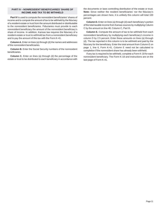## **INCOME AND TAX TO BE WITHHELD PART IV – NONRESIDENT BENEFICIARIES' SHARE OF**

**Part IV** is used to compute the nonresident beneficiaries' shares of income and to compute the amount of tax to be withheld by the fiduciary of a resident estate or trust from the amount distributed or distributable to the nonresident beneficiaries. Fiduciaries must provide to each nonresident beneficiary the amount of the nonresident beneficiary's share of income. In addition, Kansas law requires the fiduciary of a resident estate or trust to withhold tax from a nonresident beneficiary and to pay the amount of this tax with the Form K-41.

**Column A.** Enter on lines (a) through (d) the names and addresses of the nonresident beneficiaries.

**Column B.** Enter the Social Security numbers of the nonresident beneficiaries.

**Column C.** Enter on lines (a) through (d) the percentage of the estate or trust to be distributed to each beneficiary in accordance with the documents or laws controlling distribution of the estate or trust. **Note:** Since neither the resident beneficiaries' nor the fiduciary's percentages are shown here, it is unlikely this column will total 100 percent.

**Column D.** Enter on lines (a) through (d) each beneficiary's portion of the total taxable income from Kansas sources by multiplying Column C by the amount on line 48, Column C, Part III.

**Column E.** Compute the amount of tax to be withheld from each nonresident beneficiary by multiplying each beneficiary's income in column D by 2.5 percent. Enter these amounts on lines (a) through (d). The tax reported in this column is to be withheld and paid by the fiduciary for the beneficiary. Enter the total amount from Column E on page 1, line 6, Form K-41. Column E need not be calculated to completion if the nonresident share has already been withheld.

If any tax is required to be withheld, complete a Form K-18 for each nonresident beneficiary. The Form K-18 and instructions are on the last page of Form K-41.